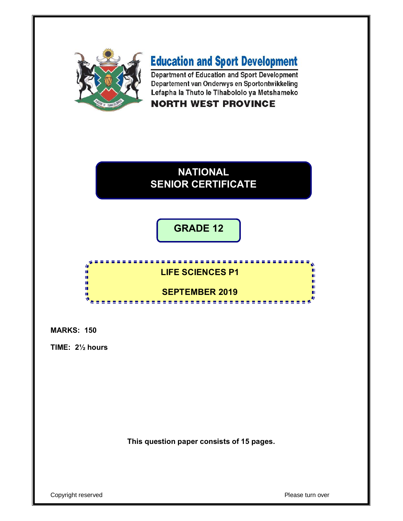

# **Education and Sport Development**

Department of Education and Sport Development Departement van Onderwys en Sportontwikkeling Lefapha la Thuto le Tlhabololo ya Metshameko

# **NORTH WEST PROVINCE**



**GRADE 12**



**MARKS: 150**

**TIME: 2½ hours**

**This question paper consists of 15 pages.**

Copyright reserved **Please turn over**  $\blacksquare$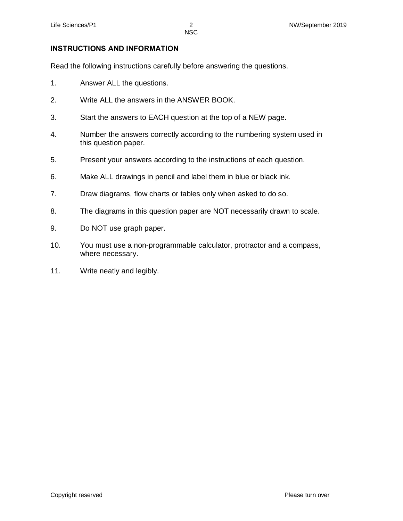## **INSTRUCTIONS AND INFORMATION**

Read the following instructions carefully before answering the questions.

- 1. Answer ALL the questions.
- 2. Write ALL the answers in the ANSWER BOOK.
- 3. Start the answers to EACH question at the top of a NEW page.
- 4. Number the answers correctly according to the numbering system used in this question paper.
- 5. Present your answers according to the instructions of each question.
- 6. Make ALL drawings in pencil and label them in blue or black ink.
- 7. Draw diagrams, flow charts or tables only when asked to do so.
- 8. The diagrams in this question paper are NOT necessarily drawn to scale.
- 9. Do NOT use graph paper.
- 10. You must use a non-programmable calculator, protractor and a compass, where necessary.
- 11. Write neatly and legibly.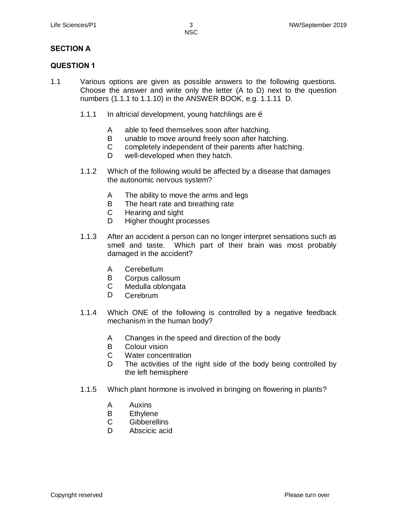## **SECTION A**

### **QUESTION 1**

- 1.1 Various options are given as possible answers to the following questions. Choose the answer and write only the letter (A to D) next to the question numbers (1.1.1 to 1.1.10) in the ANSWER BOOK, e.g. 1.1.11 D.
	- 1.1.1 In altricial development, young hatchlings are  $\ddot{\rm o}$ 
		- A able to feed themselves soon after hatching.
		- B unable to move around freely soon after hatching.
		- C completely independent of their parents after hatching.
		- D well-developed when they hatch.
	- 1.1.2 Which of the following would be affected by a disease that damages the autonomic nervous system?
		- A The ability to move the arms and legs
		- B The heart rate and breathing rate
		- C Hearing and sight
		- D Higher thought processes
	- 1.1.3 After an accident a person can no longer interpret sensations such as smell and taste. Which part of their brain was most probably damaged in the accident?
		- A Cerebellum
		- B Corpus callosum
		- C Medulla oblongata
		- D Cerebrum
	- 1.1.4 Which ONE of the following is controlled by a negative feedback mechanism in the human body?
		- A Changes in the speed and direction of the body
		- B Colour vision
		- C Water concentration
		- D The activities of the right side of the body being controlled by the left hemisphere
	- 1.1.5 Which plant hormone is involved in bringing on flowering in plants?
		- A Auxins
		- B Ethylene
		- C **Gibberellins**
		- D Abscicic acid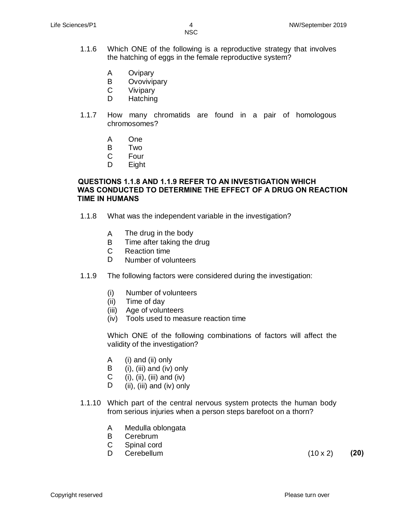NSC in the contract of the contract of the NSC in the United States of the United States of the United States

- 1.1.6 Which ONE of the following is a reproductive strategy that involves the hatching of eggs in the female reproductive system?
	- A **Ovipary**
	- B **Ovovivipary**
	- C Vivipary
	- D **Hatching**
- 1.1.7 How many chromatids are found in a pair of homologous chromosomes?
	- A One
	- B Two
	- C Four
	- D Eight

### **QUESTIONS 1.1.8 AND 1.1.9 REFER TO AN INVESTIGATION WHICH WAS CONDUCTED TO DETERMINE THE EFFECT OF A DRUG ON REACTION TIME IN HUMANS**

- 1.1.8 What was the independent variable in the investigation?
	- A The drug in the body
	- B Time after taking the drug
	- C Reaction time
	- D. Number of volunteers
- 1.1.9 The following factors were considered during the investigation:
	- (i) Number of volunteers
	- (ii) Time of day
	- (iii) Age of volunteers
	- (iv) Tools used to measure reaction time

Which ONE of the following combinations of factors will affect the validity of the investigation?

- A (i) and (ii) only
- B (i), (iii) and (iv) only
- $\mathbf{C}$  $(i)$ ,  $(ii)$ ,  $(iii)$  and  $(iv)$
- D (ii), (iii) and (iv) only
- 1.1.10 Which part of the central nervous system protects the human body from serious injuries when a person steps barefoot on a thorn?
	- A Medulla oblongata
	- B Cerebrum
	- C Spinal cord
	- D

Cerebellum (10 x 2) **(20)**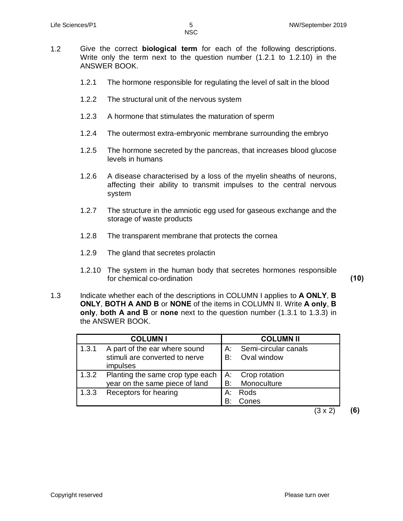- 1.2 Give the correct **biological term** for each of the following descriptions. Write only the term next to the question number (1.2.1 to 1.2.10) in the ANSWER BOOK.
	- 1.2.1 The hormone responsible for regulating the level of salt in the blood
	- 1.2.2 The structural unit of the nervous system
	- 1.2.3 A hormone that stimulates the maturation of sperm
	- 1.2.4 The outermost extra-embryonic membrane surrounding the embryo
	- 1.2.5 The hormone secreted by the pancreas, that increases blood glucose levels in humans
	- 1.2.6 A disease characterised by a loss of the myelin sheaths of neurons, affecting their ability to transmit impulses to the central nervous system
	- 1.2.7 The structure in the amniotic egg used for gaseous exchange and the storage of waste products
	- 1.2.8 The transparent membrane that protects the cornea
	- 1.2.9 The gland that secretes prolactin
	- 1.2.10 The system in the human body that secretes hormones responsible for chemical co-ordination **(10)**
- 1.3 Indicate whether each of the descriptions in COLUMN I applies to **A ONLY**, **B ONLY**, **BOTH A AND B** or **NONE** of the items in COLUMN II. Write **A only**, **B only**, **both A and B** or **none** next to the question number (1.3.1 to 1.3.3) in the ANSWER BOOK.

|       | <b>COLUMNI</b>                                                              |            | <b>COLUMN II</b>                    |
|-------|-----------------------------------------------------------------------------|------------|-------------------------------------|
| 1.3.1 | A part of the ear where sound<br>stimuli are converted to nerve<br>impulses | A:<br>B:   | Semi-circular canals<br>Oval window |
| 1.3.2 | Planting the same crop type each<br>year on the same piece of land          | l A:<br>B: | Crop rotation<br>Monoculture        |
| 1.3.3 | Receptors for hearing                                                       | A:<br>R۰   | Rods<br>Cones                       |

(3 x 2) **(6)**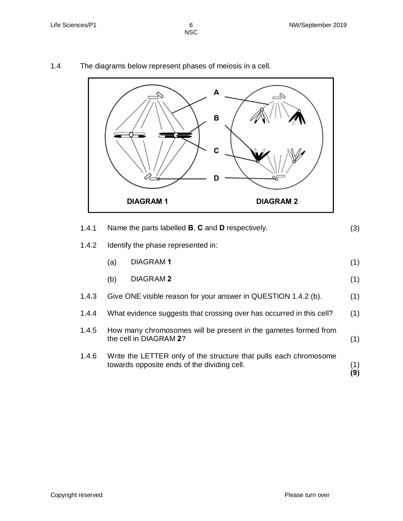NSC in the contract of the contract of the NSC in the United States of the United States of the United States

1.4.1 Name the parts labelled **B**, **C** and **D** respectively. (3) 1.4.2 Identify the phase represented in: (a) (b) DIAGRAM **1** DIAGRAM **2** (1) (1) 1.4.3 1.4.4 1.4.5 1.4.6 Give ONE visible reason for your answer in QUESTION 1.4.2 (b). What evidence suggests that crossing over has occurred in this cell? How many chromosomes will be present in the gametes formed from the cell in DIAGRAM **2**? Write the LETTER only of the structure that pulls each chromosome towards opposite ends of the dividing cell. (1) (1) (1) (1) **(9) DIAGRAM 1 DIAGRAM 2 B C D**

**A**

1.4 The diagrams below represent phases of meiosis in a cell.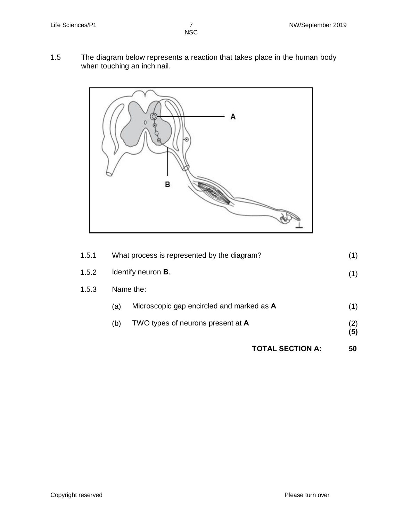1.5 The diagram below represents a reaction that takes place in the human body when touching an inch nail.



|       |           | <b>TOTAL SECTION A:</b>                     | 50         |
|-------|-----------|---------------------------------------------|------------|
|       | (b)       | TWO types of neurons present at A           | (2)<br>(5) |
|       | (a)       | Microscopic gap encircled and marked as A   | (1)        |
| 1.5.3 | Name the: |                                             |            |
| 1.5.2 |           | Identify neuron <b>B</b> .                  |            |
| 1.5.1 |           | What process is represented by the diagram? |            |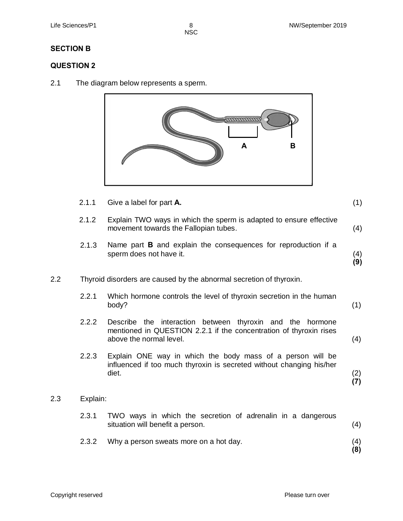$\frac{8}{NSC}$ 

## **SECTION B**

## **QUESTION 2**

2.1 The diagram below represents a sperm.



2.1.1 Give a label for part **A.** (1)

|         | 2.1.2    | Explain TWO ways in which the sperm is adapted to ensure effective<br>movement towards the Fallopian tubes.                                                   | (4)        |
|---------|----------|---------------------------------------------------------------------------------------------------------------------------------------------------------------|------------|
|         | 2.1.3    | Name part <b>B</b> and explain the consequences for reproduction if a<br>sperm does not have it.                                                              | (4)<br>(9) |
| $2.2\,$ |          | Thyroid disorders are caused by the abnormal secretion of thyroxin.                                                                                           |            |
|         | 2.2.1    | Which hormone controls the level of thyroxin secretion in the human<br>body?                                                                                  | (1)        |
|         | 2.2.2    | Describe the interaction between thyroxin and the<br>hormone<br>mentioned in QUESTION 2.2.1 if the concentration of thyroxin rises<br>above the normal level. | (4)        |
|         | 2.2.3    | Explain ONE way in which the body mass of a person will be<br>influenced if too much thyroxin is secreted without changing his/her<br>diet.                   | (2)<br>(7) |
| 2.3     | Explain: |                                                                                                                                                               |            |
|         | 2.3.1    | TWO ways in which the secretion of adrenalin in a dangerous<br>situation will benefit a person.                                                               | (4)        |
|         | 2.3.2    | Why a person sweats more on a hot day.                                                                                                                        | (4)<br>(8) |
|         |          |                                                                                                                                                               |            |

 $2.3$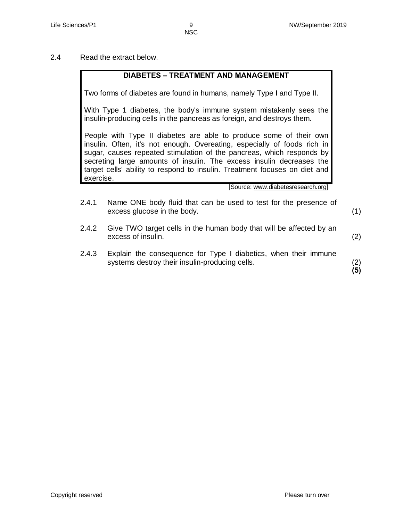2.4 Read the extract below.

## **DIABETES – TREATMENT AND MANAGEMENT**

Two forms of diabetes are found in humans, namely Type I and Type II.

With Type 1 diabetes, the body's immune system mistakenly sees the insulin-producing cells in the pancreas as foreign, and destroys them.

People with Type II diabetes are able to produce some of their own insulin. Often, it's not enough. Overeating, especially of foods rich in sugar, causes repeated stimulation of the pancreas, which responds by secreting large amounts of insulin. The excess insulin decreases the target cells' ability to respond to insulin. Treatment focuses on diet and exercise.

[Source: www.diabetesresearch.org]

- 2.4.1 Name ONE body fluid that can be used to test for the presence of excess glucose in the body. (1)
- 2.4.2 Give TWO target cells in the human body that will be affected by an excess of insulin.
- 2.4.3 Explain the consequence for Type I diabetics, when their immune systems destroy their insulin-producing cells.

(2) **(5)**

(2)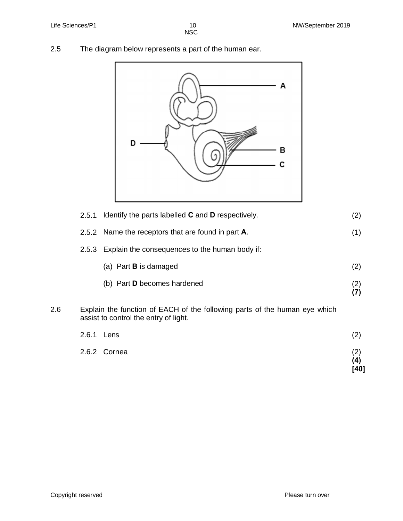(2)

2.5 The diagram below represents a part of the human ear.



| 2.5.2 Name the receptors that are found in part <b>A</b> . |  |
|------------------------------------------------------------|--|
|                                                            |  |

2.5.3 Explain the consequences to the human body if:

| (a) Part <b>B</b> is damaged |  |
|------------------------------|--|
|                              |  |

- (b) Part **D** becomes hardened (2) **(7)**
- 2.6 Explain the function of EACH of the following parts of the human eye which assist to control the entry of light.

| 2.6.1 Lens   | $\left( 2\right)$ |
|--------------|-------------------|
| 2.6.2 Cornea | (2)<br>(4)        |
|              | [40]              |

Copyright reserved **Please** turn over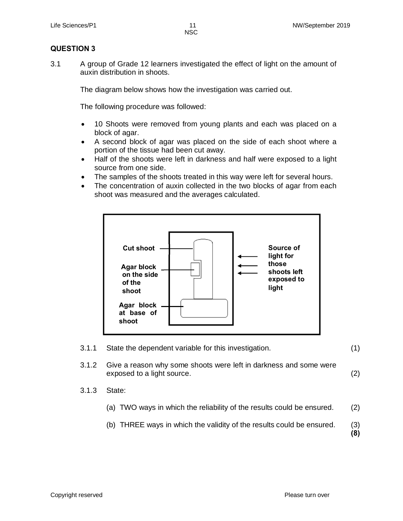## **QUESTION 3**

3.1 A group of Grade 12 learners investigated the effect of light on the amount of auxin distribution in shoots.

The diagram below shows how the investigation was carried out.

The following procedure was followed:

- · 10 Shoots were removed from young plants and each was placed on a block of agar.
- · A second block of agar was placed on the side of each shoot where a portion of the tissue had been cut away.
- · Half of the shoots were left in darkness and half were exposed to a light source from one side.
- The samples of the shoots treated in this way were left for several hours.
- The concentration of auxin collected in the two blocks of agar from each shoot was measured and the averages calculated.



3.1.1 State the dependent variable for this investigation. (1)

- 3.1.2 Give a reason why some shoots were left in darkness and some were exposed to a light source. (2)
- 3.1.3 State:
	- (a) TWO ways in which the reliability of the results could be ensured. (2)
	- (b) THREE ways in which the validity of the results could be ensured. (3)

**(8)**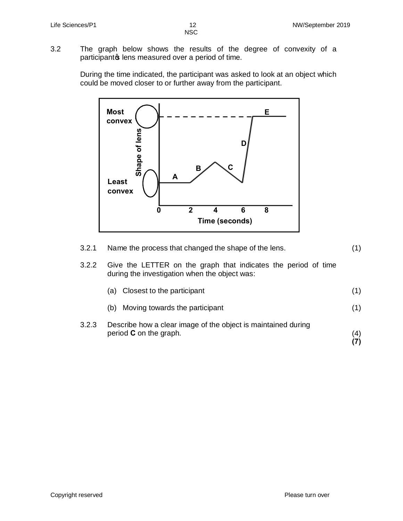3.2 The graph below shows the results of the degree of convexity of a participantos lens measured over a period of time.

> During the time indicated, the participant was asked to look at an object which could be moved closer to or further away from the participant.



| 3.2.1 | Name the process that changed the shape of the lens.                                                            | (1) |
|-------|-----------------------------------------------------------------------------------------------------------------|-----|
| 3.2.2 | Give the LETTER on the graph that indicates the period of time<br>during the investigation when the object was: |     |
|       | Closest to the participant<br>(a                                                                                | (1) |
|       | Moving towards the participant<br>(b)                                                                           | (1) |
| 3.2.3 | Describe how a clear image of the object is maintained during<br>period $C$ on the graph.                       | (4) |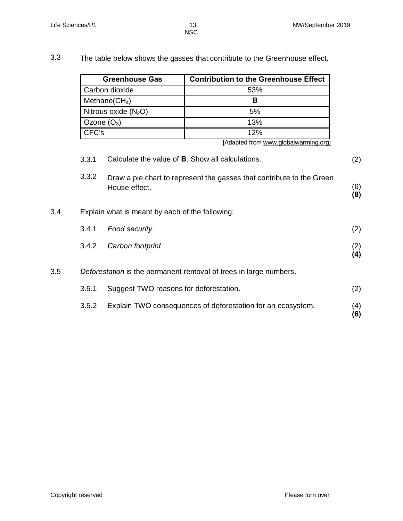3.3 The table below shows the gasses that contribute to the Greenhouse effect**.**

| <b>Greenhouse Gas</b>  | <b>Contribution to the Greenhouse Effect</b> |
|------------------------|----------------------------------------------|
| Carbon dioxide         | 53%                                          |
| Methane( $CH4$ )       |                                              |
| Nitrous oxide $(N_2O)$ | 5%                                           |
| Ozone $(O_3)$          | 13%                                          |
| CFC's                  | 12%                                          |

[Adapted from www.globalwarming.org]

|     | 3.3.1                                                             | Calculate the value of <b>B</b> . Show all calculations.                               | (2)        |
|-----|-------------------------------------------------------------------|----------------------------------------------------------------------------------------|------------|
|     | 3.3.2                                                             | Draw a pie chart to represent the gasses that contribute to the Green<br>House effect. | (6)<br>(8) |
| 3.4 |                                                                   | Explain what is meant by each of the following:                                        |            |
|     | 3.4.1                                                             | <b>Food security</b>                                                                   | (2)        |
|     | 3.4.2                                                             | Carbon footprint                                                                       | (2)<br>(4) |
| 3.5 | Deforestation is the permanent removal of trees in large numbers. |                                                                                        |            |
|     | 3.5.1                                                             | Suggest TWO reasons for deforestation.                                                 | (2)        |
|     | 3.5.2                                                             | Explain TWO consequences of deforestation for an ecosystem.                            | (4)<br>(6) |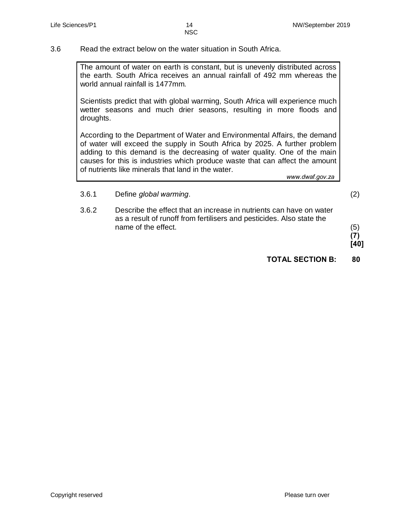3.6 Read the extract below on the water situation in South Africa.

The amount of water on earth is constant, but is unevenly distributed across the earth. South Africa receives an annual rainfall of 492 mm whereas the world annual rainfall is 1477mm.

Scientists predict that with global warming, South Africa will experience much wetter seasons and much drier seasons, resulting in more floods and droughts.

According to the Department of Water and Environmental Affairs, the demand of water will exceed the supply in South Africa by 2025. A further problem adding to this demand is the decreasing of water quality. One of the main causes for this is industries which produce waste that can affect the amount of nutrients like minerals that land in the water.

*www.dwaf.gov.za*

- 3.6.1 Define *global warming*. (2)
- 3.6.2 Describe the effect that an increase in nutrients can have on water as a result of runoff from fertilisers and pesticides. Also state the name of the effect. (5)
	- **(7)**
	- **[40]**
	- **TOTAL SECTION B: 80**